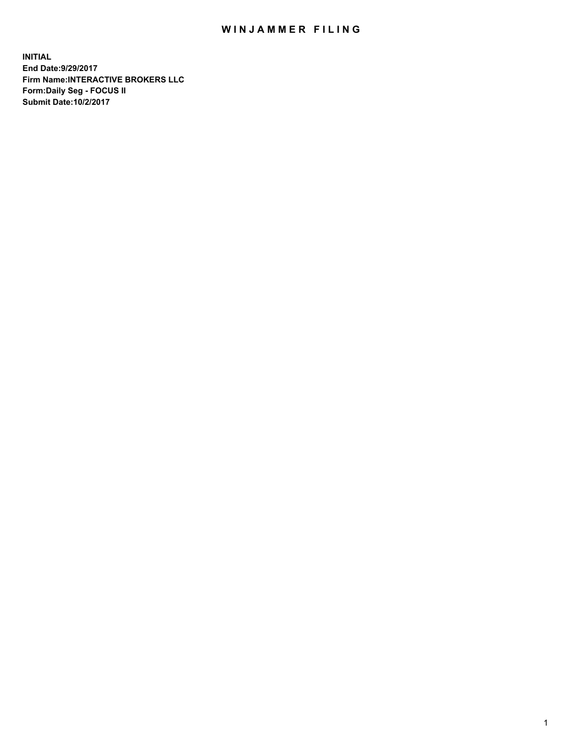## WIN JAMMER FILING

**INITIAL End Date:9/29/2017 Firm Name:INTERACTIVE BROKERS LLC Form:Daily Seg - FOCUS II Submit Date:10/2/2017**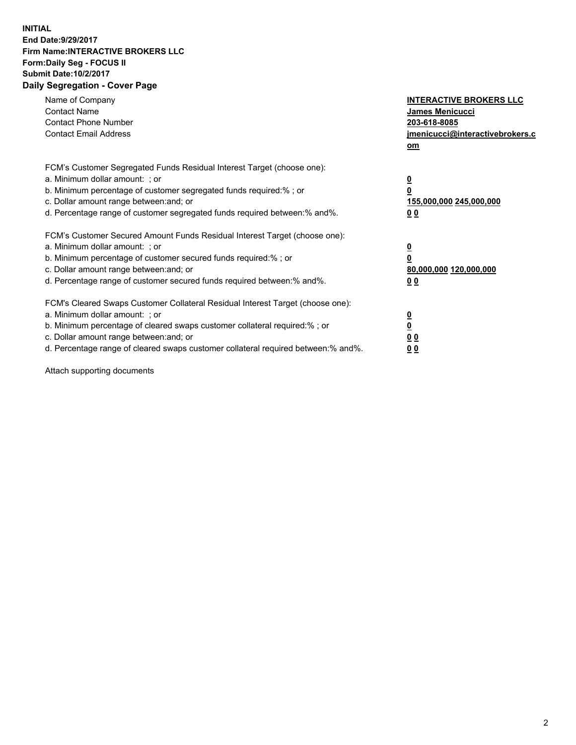## **INITIAL End Date:9/29/2017 Firm Name:INTERACTIVE BROKERS LLC Form:Daily Seg - FOCUS II Submit Date:10/2/2017 Daily Segregation - Cover Page**

| Name of Company<br><b>Contact Name</b><br><b>Contact Phone Number</b><br><b>Contact Email Address</b>                                                                                                                                                                                                                          | <b>INTERACTIVE BROKERS LLC</b><br>James Menicucci<br>203-618-8085<br>jmenicucci@interactivebrokers.c<br>om |
|--------------------------------------------------------------------------------------------------------------------------------------------------------------------------------------------------------------------------------------------------------------------------------------------------------------------------------|------------------------------------------------------------------------------------------------------------|
| FCM's Customer Segregated Funds Residual Interest Target (choose one):<br>a. Minimum dollar amount: ; or<br>b. Minimum percentage of customer segregated funds required:%; or<br>c. Dollar amount range between: and; or<br>d. Percentage range of customer segregated funds required between:% and%.                          | $\overline{\mathbf{0}}$<br>0<br>155,000,000 245,000,000<br>0 <sub>0</sub>                                  |
| FCM's Customer Secured Amount Funds Residual Interest Target (choose one):<br>a. Minimum dollar amount: ; or<br>b. Minimum percentage of customer secured funds required:%; or<br>c. Dollar amount range between: and; or<br>d. Percentage range of customer secured funds required between:% and%.                            | $\overline{\mathbf{0}}$<br>$\overline{\mathbf{0}}$<br>80,000,000 120,000,000<br>00                         |
| FCM's Cleared Swaps Customer Collateral Residual Interest Target (choose one):<br>a. Minimum dollar amount: ; or<br>b. Minimum percentage of cleared swaps customer collateral required:% ; or<br>c. Dollar amount range between: and; or<br>d. Percentage range of cleared swaps customer collateral required between:% and%. | $\overline{\mathbf{0}}$<br>$\overline{\mathbf{0}}$<br>0 <sub>0</sub><br><u>00</u>                          |

Attach supporting documents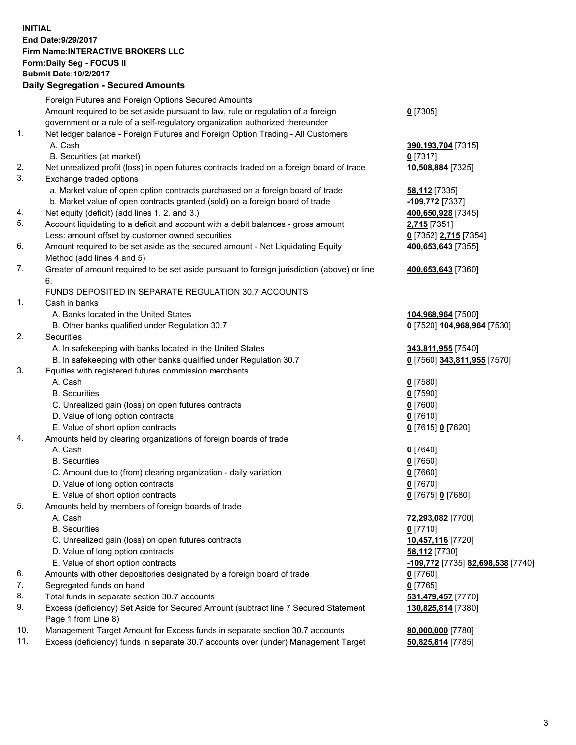## **INITIAL End Date:9/29/2017 Firm Name:INTERACTIVE BROKERS LLC Form:Daily Seg - FOCUS II Submit Date:10/2/2017**

|     | <b>Daily Segregation - Secured Amounts</b>                                                  |                                   |
|-----|---------------------------------------------------------------------------------------------|-----------------------------------|
|     | Foreign Futures and Foreign Options Secured Amounts                                         |                                   |
|     | Amount required to be set aside pursuant to law, rule or regulation of a foreign            | $0$ [7305]                        |
|     | government or a rule of a self-regulatory organization authorized thereunder                |                                   |
| 1.  | Net ledger balance - Foreign Futures and Foreign Option Trading - All Customers             |                                   |
|     | A. Cash                                                                                     | 390,193,704 [7315]                |
|     | B. Securities (at market)                                                                   | $0$ [7317]                        |
| 2.  | Net unrealized profit (loss) in open futures contracts traded on a foreign board of trade   | 10,508,884 [7325]                 |
| 3.  | Exchange traded options                                                                     |                                   |
|     | a. Market value of open option contracts purchased on a foreign board of trade              | <b>58,112</b> [7335]              |
|     | b. Market value of open contracts granted (sold) on a foreign board of trade                | -109,772 [7337]                   |
| 4.  | Net equity (deficit) (add lines 1.2. and 3.)                                                | 400,650,928 [7345]                |
| 5.  | Account liquidating to a deficit and account with a debit balances - gross amount           | 2,715 [7351]                      |
|     | Less: amount offset by customer owned securities                                            | 0 [7352] 2,715 [7354]             |
| 6.  | Amount required to be set aside as the secured amount - Net Liquidating Equity              | 400,653,643 [7355]                |
|     | Method (add lines 4 and 5)                                                                  |                                   |
| 7.  | Greater of amount required to be set aside pursuant to foreign jurisdiction (above) or line | 400,653,643 [7360]                |
|     | 6.                                                                                          |                                   |
|     | FUNDS DEPOSITED IN SEPARATE REGULATION 30.7 ACCOUNTS                                        |                                   |
| 1.  | Cash in banks                                                                               |                                   |
|     | A. Banks located in the United States                                                       | 104,968,964 [7500]                |
|     | B. Other banks qualified under Regulation 30.7                                              | 0 [7520] 104,968,964 [7530]       |
| 2.  | Securities                                                                                  |                                   |
|     | A. In safekeeping with banks located in the United States                                   | 343,811,955 [7540]                |
|     | B. In safekeeping with other banks qualified under Regulation 30.7                          | 0 [7560] 343,811,955 [7570]       |
| 3.  | Equities with registered futures commission merchants                                       |                                   |
|     | A. Cash                                                                                     | $0$ [7580]                        |
|     | <b>B.</b> Securities                                                                        | $0$ [7590]                        |
|     | C. Unrealized gain (loss) on open futures contracts                                         | $0$ [7600]                        |
|     | D. Value of long option contracts                                                           | $0$ [7610]                        |
|     | E. Value of short option contracts                                                          | 0 [7615] 0 [7620]                 |
| 4.  | Amounts held by clearing organizations of foreign boards of trade                           |                                   |
|     | A. Cash                                                                                     | $0$ [7640]                        |
|     | <b>B.</b> Securities                                                                        | $0$ [7650]                        |
|     | C. Amount due to (from) clearing organization - daily variation                             | $0$ [7660]                        |
|     | D. Value of long option contracts                                                           | $0$ [7670]                        |
|     | E. Value of short option contracts                                                          | 0 [7675] 0 [7680]                 |
| 5.  | Amounts held by members of foreign boards of trade                                          |                                   |
|     | A. Cash                                                                                     | 72,293,082 [7700]                 |
|     | <b>B.</b> Securities                                                                        | 0 [7710]                          |
|     | C. Unrealized gain (loss) on open futures contracts                                         | 10,457,116 [7720]                 |
|     | D. Value of long option contracts                                                           | 58,112 [7730]                     |
|     | E. Value of short option contracts                                                          | -109,772 [7735] 82,698,538 [7740] |
| 6.  | Amounts with other depositories designated by a foreign board of trade                      | 0 [7760]                          |
| 7.  | Segregated funds on hand                                                                    | $0$ [7765]                        |
| 8.  | Total funds in separate section 30.7 accounts                                               | 531,479,457 [7770]                |
| 9.  | Excess (deficiency) Set Aside for Secured Amount (subtract line 7 Secured Statement         | 130,825,814 [7380]                |
|     | Page 1 from Line 8)                                                                         |                                   |
| 10. | Management Target Amount for Excess funds in separate section 30.7 accounts                 | 80,000,000 [7780]                 |
| 11. | Excess (deficiency) funds in separate 30.7 accounts over (under) Management Target          | 50,825,814 [7785]                 |
|     |                                                                                             |                                   |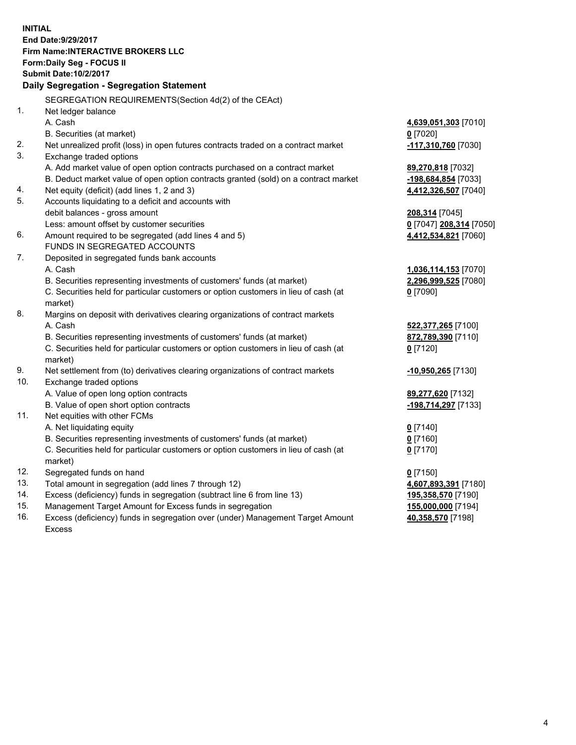**INITIAL End Date:9/29/2017 Firm Name:INTERACTIVE BROKERS LLC Form:Daily Seg - FOCUS II Submit Date:10/2/2017 Daily Segregation - Segregation Statement** SEGREGATION REQUIREMENTS(Section 4d(2) of the CEAct) 1. Net ledger balance A. Cash **4,639,051,303** [7010] B. Securities (at market) **0** [7020] 2. Net unrealized profit (loss) in open futures contracts traded on a contract market **-117,310,760** [7030] 3. Exchange traded options A. Add market value of open option contracts purchased on a contract market **89,270,818** [7032] B. Deduct market value of open option contracts granted (sold) on a contract market **-198,684,854** [7033] 4. Net equity (deficit) (add lines 1, 2 and 3) **4,412,326,507** [7040] 5. Accounts liquidating to a deficit and accounts with debit balances - gross amount **208,314** [7045] Less: amount offset by customer securities **0** [7047] **208,314** [7050] 6. Amount required to be segregated (add lines 4 and 5) **4,412,534,821** [7060] FUNDS IN SEGREGATED ACCOUNTS 7. Deposited in segregated funds bank accounts A. Cash **1,036,114,153** [7070] B. Securities representing investments of customers' funds (at market) **2,296,999,525** [7080] C. Securities held for particular customers or option customers in lieu of cash (at market) **0** [7090] 8. Margins on deposit with derivatives clearing organizations of contract markets A. Cash **522,377,265** [7100] B. Securities representing investments of customers' funds (at market) **872,789,390** [7110] C. Securities held for particular customers or option customers in lieu of cash (at market) **0** [7120] 9. Net settlement from (to) derivatives clearing organizations of contract markets **-10,950,265** [7130] 10. Exchange traded options A. Value of open long option contracts **89,277,620** [7132] B. Value of open short option contracts **-198,714,297** [7133] 11. Net equities with other FCMs A. Net liquidating equity **0** [7140] B. Securities representing investments of customers' funds (at market) **0** [7160] C. Securities held for particular customers or option customers in lieu of cash (at market) **0** [7170] 12. Segregated funds on hand **0** [7150] 13. Total amount in segregation (add lines 7 through 12) **4,607,893,391** [7180] 14. Excess (deficiency) funds in segregation (subtract line 6 from line 13) **195,358,570** [7190] 15. Management Target Amount for Excess funds in segregation **155,000,000** [7194] 16. Excess (deficiency) funds in segregation over (under) Management Target Amount **40,358,570** [7198]

Excess